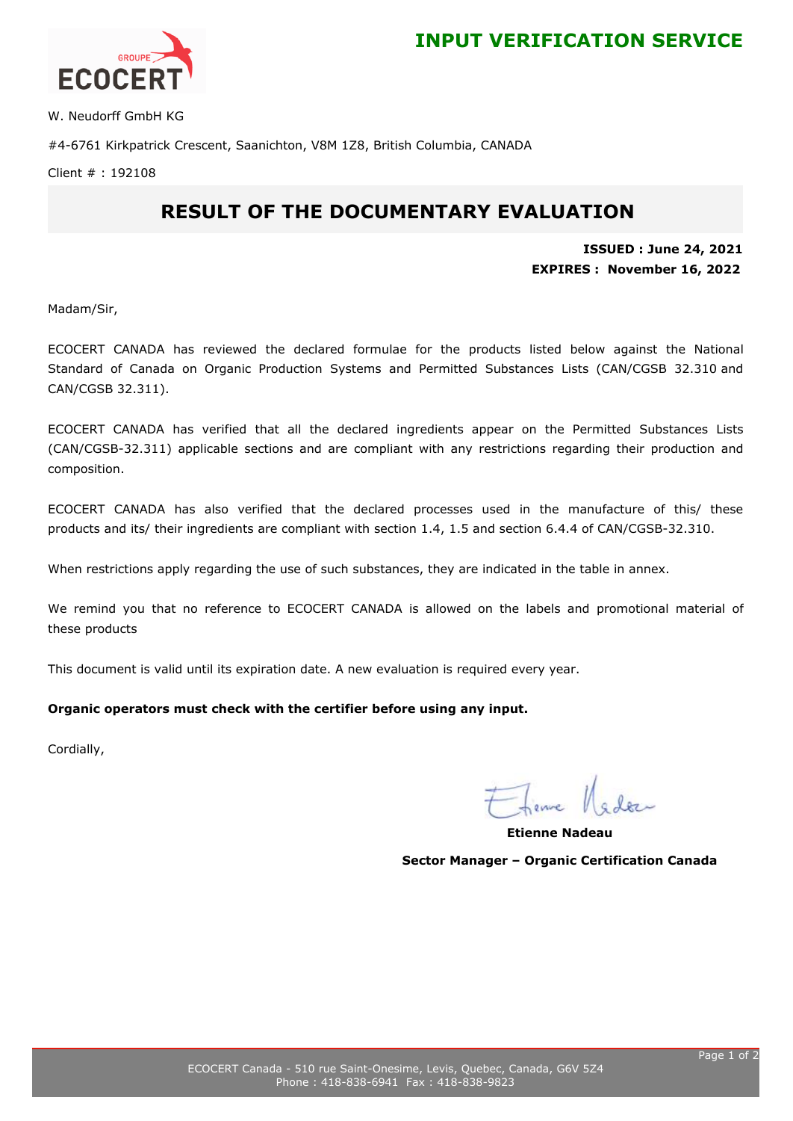



W. Neudorff GmbH KG

#4-6761 Kirkpatrick Crescent, Saanichton, V8M 1Z8, British Columbia, CANADA

Client # : 192108

## **RESULT OF THE DOCUMENTARY EVALUATION**

**ISSUED : June 24, 2021 EXPIRES : November 16, 2022**

Madam/Sir,

ECOCERT CANADA has reviewed the declared formulae for the products listed below against the National Standard of Canada on Organic Production Systems and Permitted Substances Lists (CAN/CGSB 32.310 and CAN/CGSB 32.311).

ECOCERT CANADA has verified that all the declared ingredients appear on the Permitted Substances Lists (CAN/CGSB-32.311) applicable sections and are compliant with any restrictions regarding their production and composition.

ECOCERT CANADA has also verified that the declared processes used in the manufacture of this/ these products and its/ their ingredients are compliant with section 1.4, 1.5 and section 6.4.4 of CAN/CGSB-32.310.

When restrictions apply regarding the use of such substances, they are indicated in the table in annex.

We remind you that no reference to ECOCERT CANADA is allowed on the labels and promotional material of these products

This document is valid until its expiration date. A new evaluation is required every year.

### **Organic operators must check with the certifier before using any input.**

Cordially,

**Etienne Nadeau Sector Manager – Organic Certification Canada**